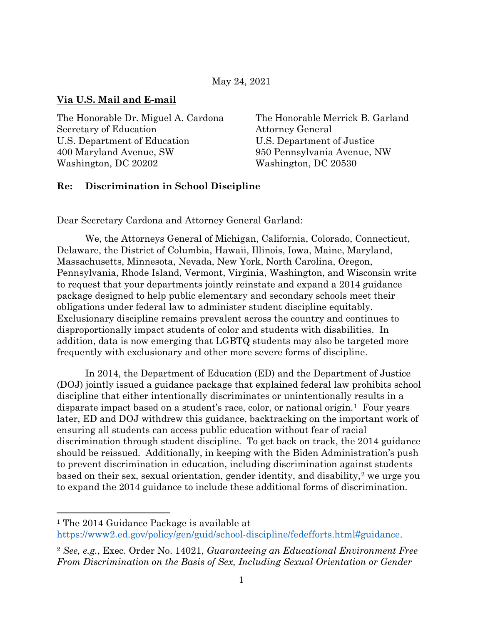#### May 24, 2021

#### **Via U.S. Mail and E-mail**

The Honorable Dr. Miguel A. Cardona The Honorable Merrick B. Garland Secretary of Education **Attorney General** U.S. Department of Education U.S. Department of Justice 400 Maryland Avenue, SW 950 Pennsylvania Avenue, NW Washington, DC 20202 Washington, DC 20530

#### **Re: Discrimination in School Discipline**

Dear Secretary Cardona and Attorney General Garland:

We, the Attorneys General of Michigan, California, Colorado, Connecticut, Delaware, the District of Columbia, Hawaii, Illinois, Iowa, Maine, Maryland, Massachusetts, Minnesota, Nevada, New York, North Carolina, Oregon, Pennsylvania, Rhode Island, Vermont, Virginia, Washington, and Wisconsin write to request that your departments jointly reinstate and expand a 2014 guidance package designed to help public elementary and secondary schools meet their obligations under federal law to administer student discipline equitably. Exclusionary discipline remains prevalent across the country and continues to disproportionally impact students of color and students with disabilities. In addition, data is now emerging that LGBTQ students may also be targeted more frequently with exclusionary and other more severe forms of discipline.

In 2014, the Department of Education (ED) and the Department of Justice (DOJ) jointly issued a guidance package that explained federal law prohibits school discipline that either intentionally discriminates or unintentionally results in a disparate impact based on a student's race, color, or national origin.[1](#page-0-0) Four years later, ED and DOJ withdrew this guidance, backtracking on the important work of ensuring all students can access public education without fear of racial discrimination through student discipline. To get back on track, the 2014 guidance should be reissued. Additionally, in keeping with the Biden Administration's push to prevent discrimination in education, including discrimination against students based on their sex, sexual orientation, gender identity, and disability,[2](#page-0-1) we urge you to expand the 2014 guidance to include these additional forms of discrimination.

<span id="page-0-0"></span><sup>1</sup> The 2014 Guidance Package is available at [https://www2.ed.gov/policy/gen/guid/school-discipline/fedefforts.html#guidance.](https://www2.ed.gov/policy/gen/guid/school-discipline/fedefforts.html#guidance)

<span id="page-0-1"></span><sup>2</sup> *See, e.g.*, Exec. Order No. 14021, *Guaranteeing an Educational Environment Free From Discrimination on the Basis of Sex, Including Sexual Orientation or Gender*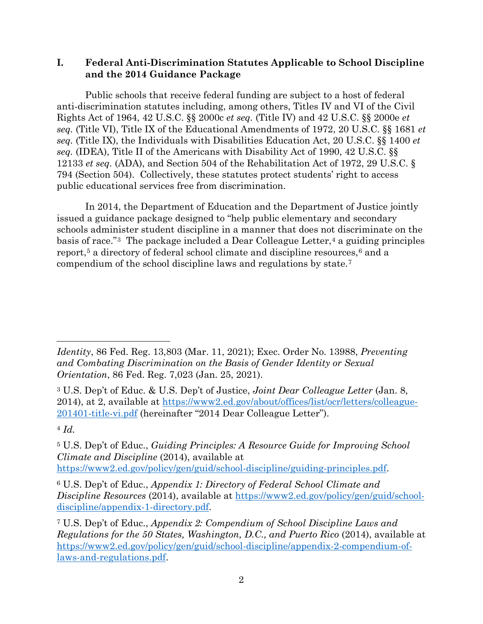## **I. Federal Anti-Discrimination Statutes Applicable to School Discipline and the 2014 Guidance Package**

Public schools that receive federal funding are subject to a host of federal anti-discrimination statutes including, among others, Titles IV and VI of the Civil Rights Act of 1964, 42 U.S.C. §§ 2000c *et seq.* (Title IV) and 42 U.S.C. §§ 2000e *et seq.* (Title VI), Title IX of the Educational Amendments of 1972, 20 U.S.C. §§ 1681 *et seq.* (Title IX), the Individuals with Disabilities Education Act, 20 U.S.C. §§ 1400 *et seq.* (IDEA), Title II of the Americans with Disability Act of 1990, 42 U.S.C. §§ 12133 *et seq.* (ADA), and Section 504 of the Rehabilitation Act of 1972, 29 U.S.C. § 794 (Section 504). Collectively, these statutes protect students' right to access public educational services free from discrimination.

In 2014, the Department of Education and the Department of Justice jointly issued a guidance package designed to "help public elementary and secondary schools administer student discipline in a manner that does not discriminate on the basis of race."<sup>[3](#page-1-0)</sup> The package included a Dear Colleague Letter,<sup>[4](#page-1-1)</sup> a guiding principles report,<sup>[5](#page-1-2)</sup> a directory of federal school climate and discipline resources,<sup>[6](#page-1-3)</sup> and a compendium of the school discipline laws and regulations by state.[7](#page-1-4)

<span id="page-1-1"></span><sup>4</sup> *Id.*

*Identity*, 86 Fed. Reg. 13,803 (Mar. 11, 2021); Exec. Order No. 13988, *Preventing and Combating Discrimination on the Basis of Gender Identity or Sexual Orientation*, 86 Fed. Reg. 7,023 (Jan. 25, 2021).

<span id="page-1-0"></span><sup>3</sup> U.S. Dep't of Educ. & U.S. Dep't of Justice, *Joint Dear Colleague Letter* (Jan. 8, 2014), at 2, available at [https://www2.ed.gov/about/offices/list/ocr/letters/colleague-](https://www2.ed.gov/about/offices/list/ocr/letters/colleague-201401-title-vi.pdf)[201401-title-vi.pdf](https://www2.ed.gov/about/offices/list/ocr/letters/colleague-201401-title-vi.pdf) (hereinafter "2014 Dear Colleague Letter").

<span id="page-1-2"></span><sup>5</sup> U.S. Dep't of Educ., *Guiding Principles: A Resource Guide for Improving School Climate and Discipline* (2014), available at

[https://www2.ed.gov/policy/gen/guid/school-discipline/guiding-principles.pdf.](https://www2.ed.gov/policy/gen/guid/school-discipline/guiding-principles.pdf)

<span id="page-1-3"></span><sup>6</sup> U.S. Dep't of Educ., *Appendix 1: Directory of Federal School Climate and Discipline Resources* (2014), available at [https://www2.ed.gov/policy/gen/guid/school](https://www2.ed.gov/policy/gen/guid/school-discipline/appendix-1-directory.pdf)[discipline/appendix-1-directory.pdf.](https://www2.ed.gov/policy/gen/guid/school-discipline/appendix-1-directory.pdf)

<span id="page-1-4"></span><sup>7</sup> U.S. Dep't of Educ., *Appendix 2: Compendium of School Discipline Laws and Regulations for the 50 States, Washington, D.C., and Puerto Rico* (2014), available at [https://www2.ed.gov/policy/gen/guid/school-discipline/appendix-2-compendium-of](https://www2.ed.gov/policy/gen/guid/school-discipline/appendix-2-compendium-of-laws-and-regulations.pdf)[laws-and-regulations.pdf.](https://www2.ed.gov/policy/gen/guid/school-discipline/appendix-2-compendium-of-laws-and-regulations.pdf)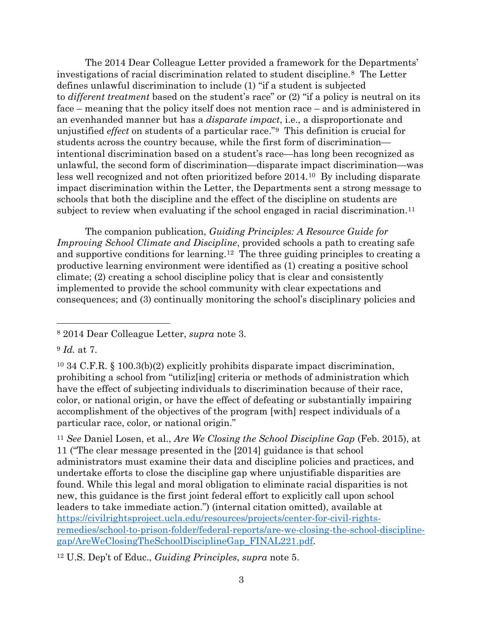The 2014 Dear Colleague Letter provided a framework for the Departments' investigations of racial discrimination related to student discipline.[8](#page-2-0) The Letter defines unlawful discrimination to include (1) "if a student is subjected to *different treatment* based on the student's race" or (2) "if a policy is neutral on its face – meaning that the policy itself does not mention race – and is administered in an evenhanded manner but has a *disparate impact*, i.e., a disproportionate and unjustified *effect* on students of a particular race."[9](#page-2-1) This definition is crucial for students across the country because, while the first form of discrimination intentional discrimination based on a student's race—has long been recognized as unlawful, the second form of discrimination—disparate impact discrimination—was less well recognized and not often prioritized before 2014.[10](#page-2-2) By including disparate impact discrimination within the Letter, the Departments sent a strong message to schools that both the discipline and the effect of the discipline on students are subject to review when evaluating if the school engaged in racial discrimination.<sup>[11](#page-2-3)</sup>

The companion publication, *Guiding Principles: A Resource Guide for Improving School Climate and Discipline*, provided schools a path to creating safe and supportive conditions for learning.[12](#page-2-4) The three guiding principles to creating a productive learning environment were identified as (1) creating a positive school climate; (2) creating a school discipline policy that is clear and consistently implemented to provide the school community with clear expectations and consequences; and (3) continually monitoring the school's disciplinary policies and

<span id="page-2-0"></span><sup>8</sup> 2014 Dear Colleague Letter, *supra* note 3.

<span id="page-2-1"></span><sup>9</sup> *Id.* at 7.

<span id="page-2-2"></span><sup>10</sup> 34 C.F.R. § 100.3(b)(2) explicitly prohibits disparate impact discrimination, prohibiting a school from "utiliz[ing] criteria or methods of administration which have the effect of subjecting individuals to discrimination because of their race, color, or national origin, or have the effect of defeating or substantially impairing accomplishment of the objectives of the program [with] respect individuals of a particular race, color, or national origin."

<span id="page-2-3"></span><sup>11</sup> *See* Daniel Losen, et al., *Are We Closing the School Discipline Gap* (Feb. 2015), at 11 ("The clear message presented in the [2014] guidance is that school administrators must examine their data and discipline policies and practices, and undertake efforts to close the discipline gap where unjustifiable disparities are found. While this legal and moral obligation to eliminate racial disparities is not new, this guidance is the first joint federal effort to explicitly call upon school leaders to take immediate action.") (internal citation omitted), available at [https://civilrightsproject.ucla.edu/resources/projects/center-for-civil-rights](https://civilrightsproject.ucla.edu/resources/projects/center-for-civil-rights-remedies/school-to-prison-folder/federal-reports/are-we-closing-the-school-discipline-gap/AreWeClosingTheSchoolDisciplineGap_FINAL221.pdf)[remedies/school-to-prison-folder/federal-reports/are-we-closing-the-school-discipline](https://civilrightsproject.ucla.edu/resources/projects/center-for-civil-rights-remedies/school-to-prison-folder/federal-reports/are-we-closing-the-school-discipline-gap/AreWeClosingTheSchoolDisciplineGap_FINAL221.pdf)[gap/AreWeClosingTheSchoolDisciplineGap\\_FINAL221.pdf.](https://civilrightsproject.ucla.edu/resources/projects/center-for-civil-rights-remedies/school-to-prison-folder/federal-reports/are-we-closing-the-school-discipline-gap/AreWeClosingTheSchoolDisciplineGap_FINAL221.pdf)

<span id="page-2-4"></span><sup>12</sup> U.S. Dep't of Educ., *Guiding Principles*, *supra* note 5.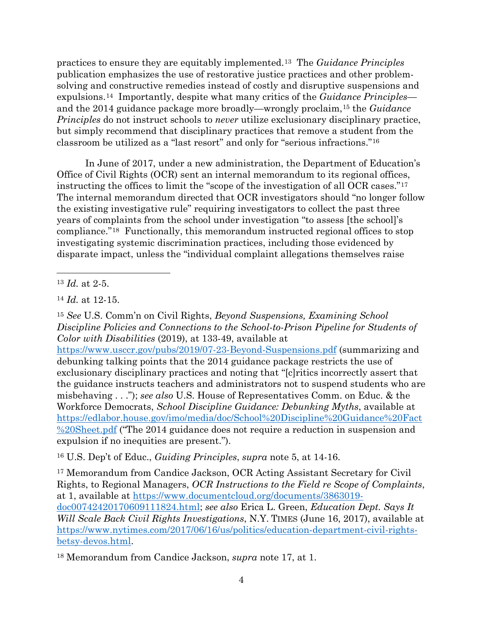practices to ensure they are equitably implemented.[13](#page-3-0) The *Guidance Principles* publication emphasizes the use of restorative justice practices and other problemsolving and constructive remedies instead of costly and disruptive suspensions and expulsions.[14](#page-3-1) Importantly, despite what many critics of the *Guidance Principles* and the 2014 guidance package more broadly—wrongly proclaim,[15](#page-3-2) the *Guidance Principles* do not instruct schools to *never* utilize exclusionary disciplinary practice, but simply recommend that disciplinary practices that remove a student from the classroom be utilized as a "last resort" and only for "serious infractions."[16](#page-3-3)

In June of 2017, under a new administration, the Department of Education's Office of Civil Rights (OCR) sent an internal memorandum to its regional offices, instructing the offices to limit the "scope of the investigation of all OCR cases."[17](#page-3-4) The internal memorandum directed that OCR investigators should "no longer follow the existing investigative rule" requiring investigators to collect the past three years of complaints from the school under investigation "to assess [the school]'s compliance."[18](#page-3-5) Functionally, this memorandum instructed regional offices to stop investigating systemic discrimination practices, including those evidenced by disparate impact, unless the "individual complaint allegations themselves raise

<span id="page-3-2"></span><sup>15</sup> *See* U.S. Comm'n on Civil Rights, *Beyond Suspensions, Examining School Discipline Policies and Connections to the School-to-Prison Pipeline for Students of Color with Disabilities* (2019), at 133-49, available at

<https://www.usccr.gov/pubs/2019/07-23-Beyond-Suspensions.pdf> (summarizing and debunking talking points that the 2014 guidance package restricts the use of exclusionary disciplinary practices and noting that "[c]ritics incorrectly assert that the guidance instructs teachers and administrators not to suspend students who are misbehaving . . ."); *see also* U.S. House of Representatives Comm. on Educ. & the Workforce Democrats, *School Discipline Guidance: Debunking Myths*, available at [https://edlabor.house.gov/imo/media/doc/School%20Discipline%20Guidance%20Fact](https://edlabor.house.gov/imo/media/doc/School%20Discipline%20Guidance%20Fact%20Sheet.pdf) [%20Sheet.pdf](https://edlabor.house.gov/imo/media/doc/School%20Discipline%20Guidance%20Fact%20Sheet.pdf) ("The 2014 guidance does not require a reduction in suspension and expulsion if no inequities are present.").

<span id="page-3-3"></span><sup>16</sup> U.S. Dep't of Educ., *Guiding Principles*, *supra* note 5, at 14-16.

<span id="page-3-4"></span><sup>17</sup> Memorandum from Candice Jackson, OCR Acting Assistant Secretary for Civil Rights, to Regional Managers, *OCR Instructions to the Field re Scope of Complaints*, at 1, available at [https://www.documentcloud.org/documents/3863019](https://www.documentcloud.org/documents/3863019-doc00742420170609111824.html) [doc00742420170609111824.html;](https://www.documentcloud.org/documents/3863019-doc00742420170609111824.html) *see also* Erica L. Green, *Education Dept. Says It Will Scale Back Civil Rights Investigations*, N.Y. TIMES (June 16, 2017), available at [https://www.nytimes.com/2017/06/16/us/politics/education-department-civil-rights](https://www.nytimes.com/2017/06/16/us/politics/education-department-civil-rights-betsy-devos.html)[betsy-devos.html.](https://www.nytimes.com/2017/06/16/us/politics/education-department-civil-rights-betsy-devos.html)

<span id="page-3-5"></span><sup>18</sup> Memorandum from Candice Jackson, *supra* note 17, at 1.

<span id="page-3-0"></span><sup>13</sup> *Id.* at 2-5.

<span id="page-3-1"></span><sup>14</sup> *Id.* at 12-15.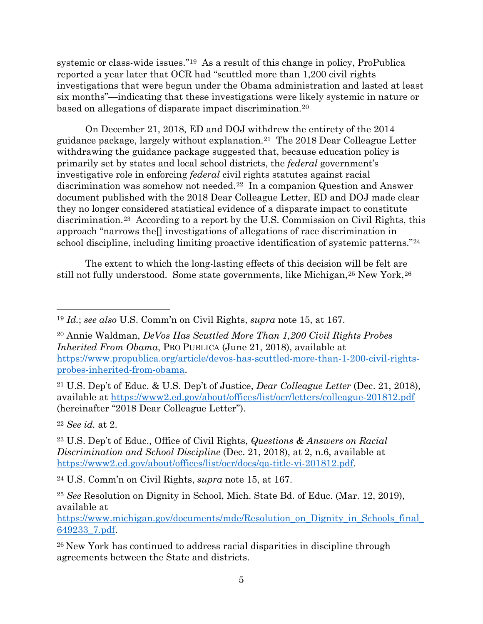systemic or class-wide issues.["19](#page-4-0) As a result of this change in policy, ProPublica reported a year later that OCR had "scuttled more than 1,200 civil rights investigations that were begun under the Obama administration and lasted at least six months"—indicating that these investigations were likely systemic in nature or based on allegations of disparate impact discrimination.[20](#page-4-1)

On December 21, 2018, ED and DOJ withdrew the entirety of the 2014 guidance package, largely without explanation.[21](#page-4-2) The 2018 Dear Colleague Letter withdrawing the guidance package suggested that, because education policy is primarily set by states and local school districts, the *federal* government's investigative role in enforcing *federal* civil rights statutes against racial discrimination was somehow not needed.[22](#page-4-3) In a companion Question and Answer document published with the 2018 Dear Colleague Letter, ED and DOJ made clear they no longer considered statistical evidence of a disparate impact to constitute discrimination.[23](#page-4-4) According to a report by the U.S. Commission on Civil Rights, this approach "narrows the[] investigations of allegations of race discrimination in school discipline, including limiting proactive identification of systemic patterns."[24](#page-4-5)

The extent to which the long-lasting effects of this decision will be felt are still not fully understood. Some state governments, like Michigan, <sup>[25](#page-4-6)</sup> New York, <sup>[26](#page-4-7)</sup>

<span id="page-4-2"></span><sup>21</sup> U.S. Dep't of Educ. & U.S. Dep't of Justice, *Dear Colleague Letter* (Dec. 21, 2018), available at<https://www2.ed.gov/about/offices/list/ocr/letters/colleague-201812.pdf> (hereinafter "2018 Dear Colleague Letter").

<span id="page-4-3"></span><sup>22</sup> *See id.* at 2.

<span id="page-4-4"></span><sup>23</sup> U.S. Dep't of Educ., Office of Civil Rights, *Questions & Answers on Racial Discrimination and School Discipline* (Dec. 21, 2018), at 2, n.6, available at [https://www2.ed.gov/about/offices/list/ocr/docs/qa-title-vi-201812.pdf.](https://www2.ed.gov/about/offices/list/ocr/docs/qa-title-vi-201812.pdf)

<span id="page-4-5"></span><sup>24</sup> U.S. Comm'n on Civil Rights, *supra* note 15, at 167.

<span id="page-4-0"></span><sup>19</sup> *Id.*; *see also* U.S. Comm'n on Civil Rights, *supra* note 15, at 167.

<span id="page-4-1"></span><sup>20</sup> Annie Waldman, *DeVos Has Scuttled More Than 1,200 Civil Rights Probes Inherited From Obama*, PRO PUBLICA (June 21, 2018), available at [https://www.propublica.org/article/devos-has-scuttled-more-than-1-200-civil-rights](https://www.propublica.org/article/devos-has-scuttled-more-than-1-200-civil-rights-probes-inherited-from-obama)[probes-inherited-from-obama.](https://www.propublica.org/article/devos-has-scuttled-more-than-1-200-civil-rights-probes-inherited-from-obama)

<span id="page-4-6"></span><sup>25</sup> *See* Resolution on Dignity in School, Mich. State Bd. of Educ. (Mar. 12, 2019), available at

[https://www.michigan.gov/documents/mde/Resolution\\_on\\_Dignity\\_in\\_Schools\\_final\\_](https://www.michigan.gov/documents/mde/Resolution_on_Dignity_in_Schools_final_649233_7.pdf) [649233\\_7.pdf.](https://www.michigan.gov/documents/mde/Resolution_on_Dignity_in_Schools_final_649233_7.pdf)

<span id="page-4-7"></span><sup>26</sup> New York has continued to address racial disparities in discipline through agreements between the State and districts.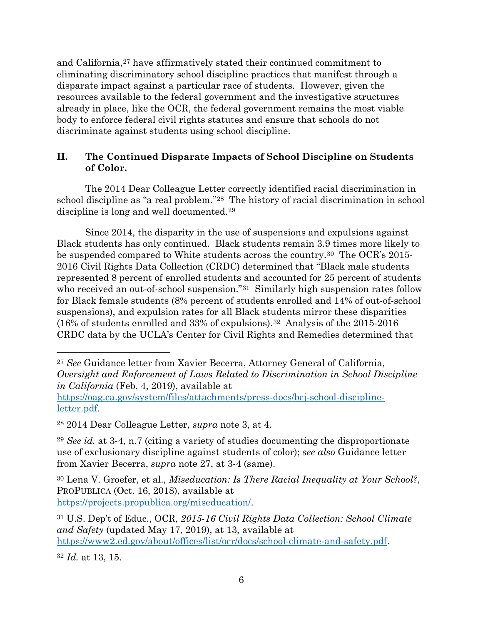and California,<sup>[27](#page-5-0)</sup> have affirmatively stated their continued commitment to eliminating discriminatory school discipline practices that manifest through a disparate impact against a particular race of students. However, given the resources available to the federal government and the investigative structures already in place, like the OCR, the federal government remains the most viable body to enforce federal civil rights statutes and ensure that schools do not discriminate against students using school discipline.

# **II. The Continued Disparate Impacts of School Discipline on Students of Color.**

The 2014 Dear Colleague Letter correctly identified racial discrimination in school discipline as "a real problem."[28](#page-5-1) The history of racial discrimination in school discipline is long and well documented.[29](#page-5-2)

Since 2014, the disparity in the use of suspensions and expulsions against Black students has only continued. Black students remain 3.9 times more likely to be suspended compared to White students across the country.<sup>[30](#page-5-3)</sup> The OCR's 2015-2016 Civil Rights Data Collection (CRDC) determined that "Black male students represented 8 percent of enrolled students and accounted for 25 percent of students who received an out-of-school suspension."<sup>[31](#page-5-4)</sup> Similarly high suspension rates follow for Black female students (8% percent of students enrolled and 14% of out-of-school suspensions), and expulsion rates for all Black students mirror these disparities (16% of students enrolled and 33% of expulsions).[32](#page-5-5) Analysis of the 2015-2016 CRDC data by the UCLA's Center for Civil Rights and Remedies determined that

<span id="page-5-0"></span><sup>27</sup> *See* Guidance letter from Xavier Becerra, Attorney General of California, *Oversight and Enforcement of Laws Related to Discrimination in School Discipline in California* (Feb. 4, 2019), available at

[https://oag.ca.gov/system/files/attachments/press-docs/bcj-school-discipline](https://oag.ca.gov/system/files/attachments/press-docs/bcj-school-discipline-letter.pdf)[letter.pdf.](https://oag.ca.gov/system/files/attachments/press-docs/bcj-school-discipline-letter.pdf)

<span id="page-5-1"></span><sup>28</sup> 2014 Dear Colleague Letter, *supra* note 3, at 4.

<span id="page-5-2"></span><sup>29</sup> *See id.* at 3-4, n.7 (citing a variety of studies documenting the disproportionate use of exclusionary discipline against students of color); *see also* Guidance letter from Xavier Becerra, *supra* note 27, at 3-4 (same).

<span id="page-5-3"></span><sup>30</sup> Lena V. Groefer, et al., *Miseducation: Is There Racial Inequality at Your School?*, PROPUBLICA (Oct. 16, 2018), available at [https://projects.propublica.org/miseducation/.](https://projects.propublica.org/miseducation/)

<span id="page-5-4"></span><sup>31</sup> U.S. Dep't of Educ., OCR, *2015-16 Civil Rights Data Collection: School Climate and Safety* (updated May 17, 2019), at 13, available at [https://www2.ed.gov/about/offices/list/ocr/docs/school-climate-and-safety.pdf.](https://www2.ed.gov/about/offices/list/ocr/docs/school-climate-and-safety.pdf)

<span id="page-5-5"></span><sup>32</sup> *Id.* at 13, 15.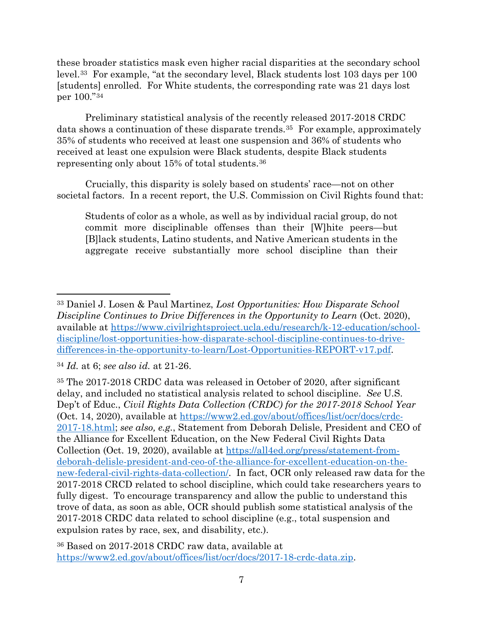these broader statistics mask even higher racial disparities at the secondary school level.[33](#page-6-0) For example, "at the secondary level, Black students lost 103 days per 100 [students] enrolled. For White students, the corresponding rate was 21 days lost per 100."[34](#page-6-1) 

Preliminary statistical analysis of the recently released 2017-2018 CRDC data shows a continuation of these disparate trends.<sup>[35](#page-6-2)</sup> For example, approximately 35% of students who received at least one suspension and 36% of students who received at least one expulsion were Black students, despite Black students representing only about 15% of total students.[36](#page-6-3)

Crucially, this disparity is solely based on students' race—not on other societal factors. In a recent report, the U.S. Commission on Civil Rights found that:

Students of color as a whole, as well as by individual racial group, do not commit more disciplinable offenses than their [W]hite peers—but [B]lack students, Latino students, and Native American students in the aggregate receive substantially more school discipline than their

<span id="page-6-0"></span><sup>33</sup> Daniel J. Losen & Paul Martinez, *Lost Opportunities: How Disparate School Discipline Continues to Drive Differences in the Opportunity to Learn* (Oct. 2020), available at [https://www.civilrightsproject.ucla.edu/research/k-12-education/school](https://www.civilrightsproject.ucla.edu/research/k-12-education/school-discipline/lost-opportunities-how-disparate-school-discipline-continues-to-drive-differences-in-the-opportunity-to-learn/Lost-Opportunities-REPORT-v17.pdf)[discipline/lost-opportunities-how-disparate-school-discipline-continues-to-drive](https://www.civilrightsproject.ucla.edu/research/k-12-education/school-discipline/lost-opportunities-how-disparate-school-discipline-continues-to-drive-differences-in-the-opportunity-to-learn/Lost-Opportunities-REPORT-v17.pdf)[differences-in-the-opportunity-to-learn/Lost-Opportunities-REPORT-v17.pdf.](https://www.civilrightsproject.ucla.edu/research/k-12-education/school-discipline/lost-opportunities-how-disparate-school-discipline-continues-to-drive-differences-in-the-opportunity-to-learn/Lost-Opportunities-REPORT-v17.pdf)

<span id="page-6-1"></span><sup>34</sup> *Id.* at 6; *see also id.* at 21-26.

<span id="page-6-2"></span><sup>35</sup> The 2017-2018 CRDC data was released in October of 2020, after significant delay, and included no statistical analysis related to school discipline. *See* U.S. Dep't of Educ., *Civil Rights Data Collection (CRDC) for the 2017-2018 School Year* (Oct. 14, 2020), available at [https://www2.ed.gov/about/offices/list/ocr/docs/crdc-](https://www2.ed.gov/about/offices/list/ocr/docs/crdc-2017-18.html)[2017-18.html;](https://www2.ed.gov/about/offices/list/ocr/docs/crdc-2017-18.html) *see also, e.g.*, Statement from Deborah Delisle, President and CEO of the Alliance for Excellent Education, on the New Federal Civil Rights Data Collection (Oct. 19, 2020), available at [https://all4ed.org/press/statement-from](https://all4ed.org/press/statement-from-deborah-delisle-president-and-ceo-of-the-alliance-for-excellent-education-on-the-new-federal-civil-rights-data-collection/)[deborah-delisle-president-and-ceo-of-the-alliance-for-excellent-education-on-the](https://all4ed.org/press/statement-from-deborah-delisle-president-and-ceo-of-the-alliance-for-excellent-education-on-the-new-federal-civil-rights-data-collection/)[new-federal-civil-rights-data-collection/.](https://all4ed.org/press/statement-from-deborah-delisle-president-and-ceo-of-the-alliance-for-excellent-education-on-the-new-federal-civil-rights-data-collection/) In fact, OCR only released raw data for the 2017-2018 CRCD related to school discipline, which could take researchers years to fully digest. To encourage transparency and allow the public to understand this trove of data, as soon as able, OCR should publish some statistical analysis of the 2017-2018 CRDC data related to school discipline (e.g., total suspension and expulsion rates by race, sex, and disability, etc.).

<span id="page-6-3"></span><sup>36</sup> Based on 2017-2018 CRDC raw data, available at [https://www2.ed.gov/about/offices/list/ocr/docs/2017-18-crdc-data.zip.](https://www2.ed.gov/about/offices/list/ocr/docs/2017-18-crdc-data.zip)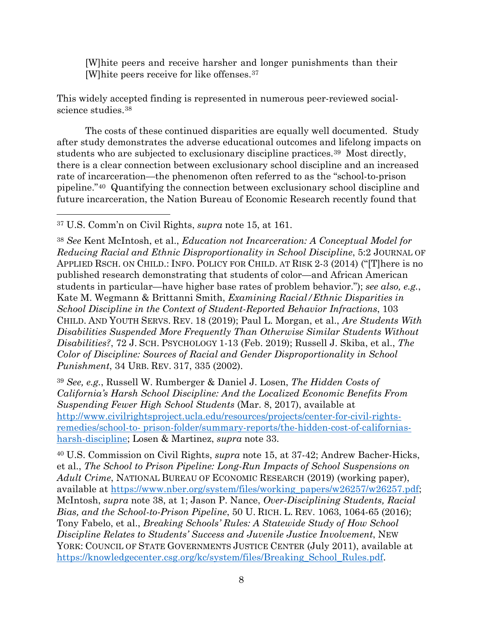[W]hite peers and receive harsher and longer punishments than their [W]hite peers receive for like offenses.[37](#page-7-0)

This widely accepted finding is represented in numerous peer-reviewed socialscience studies.[38](#page-7-1)

The costs of these continued disparities are equally well documented. Study after study demonstrates the adverse educational outcomes and lifelong impacts on students who are subjected to exclusionary discipline practices.[39](#page-7-2) Most directly, there is a clear connection between exclusionary school discipline and an increased rate of incarceration—the phenomenon often referred to as the "school-to-prison pipeline."[40](#page-7-3) Quantifying the connection between exclusionary school discipline and future incarceration, the Nation Bureau of Economic Research recently found that

<span id="page-7-0"></span><sup>37</sup> U.S. Comm'n on Civil Rights, *supra* note 15, at 161.

<span id="page-7-1"></span><sup>38</sup> *See* Kent McIntosh, et al., *Education not Incarceration: A Conceptual Model for Reducing Racial and Ethnic Disproportionality in School Discipline*, 5:2 JOURNAL OF APPLIED RSCH. ON CHILD.: INFO. POLICY FOR CHILD. AT RISK 2-3 (2014) ("[T]here is no published research demonstrating that students of color—and African American students in particular—have higher base rates of problem behavior."); *see also, e.g.*, Kate M. Wegmann & Brittanni Smith, *Examining Racial/Ethnic Disparities in School Discipline in the Context of Student-Reported Behavior Infractions*, 103 CHILD. AND YOUTH SERVS. REV. 18 (2019); Paul L. Morgan, et al., *Are Students With Disabilities Suspended More Frequently Than Otherwise Similar Students Without Disabilities?*, 72 J. SCH. PSYCHOLOGY 1-13 (Feb. 2019); Russell J. Skiba, et al., *The Color of Discipline: Sources of Racial and Gender Disproportionality in School Punishment*, 34 URB. REV. 317, 335 (2002).

<span id="page-7-2"></span><sup>39</sup> *See, e.g.*, Russell W. Rumberger & Daniel J. Losen, *The Hidden Costs of California's Harsh School Discipline: And the Localized Economic Benefits From Suspending Fewer High School Students* (Mar. 8, 2017), available at [http://www.civilrightsproject.ucla.edu/resources/projects/center-for-civil-rights](http://www.civilrightsproject.ucla.edu/resources/projects/center-for-civil-rights-remedies/school-to-%20prison-folder/summary-reports/the-hidden-cost-of-californias-harsh-discipline)remedies/school-to- [prison-folder/summary-reports/the-hidden-cost-of-californias](http://www.civilrightsproject.ucla.edu/resources/projects/center-for-civil-rights-remedies/school-to-%20prison-folder/summary-reports/the-hidden-cost-of-californias-harsh-discipline)[harsh-discipline;](http://www.civilrightsproject.ucla.edu/resources/projects/center-for-civil-rights-remedies/school-to-%20prison-folder/summary-reports/the-hidden-cost-of-californias-harsh-discipline) Losen & Martinez, *supra* note 33.

<span id="page-7-3"></span><sup>40</sup> U.S. Commission on Civil Rights, *supra* note 15, at 37-42; Andrew Bacher-Hicks, et al., *The School to Prison Pipeline: Long-Run Impacts of School Suspensions on Adult Crime*, NATIONAL BUREAU OF ECONOMIC RESEARCH (2019) (working paper), available at [https://www.nber.org/system/files/working\\_papers/w26257/w26257.pdf;](https://www.nber.org/system/files/working_papers/w26257/w26257.pdf) McIntosh, *supra* note 38, at 1; Jason P. Nance, *Over-Disciplining Students, Racial Bias, and the School-to-Prison Pipeline*, 50 U. RICH. L. REV. 1063, 1064-65 (2016); Tony Fabelo, et al., *Breaking Schools' Rules: A Statewide Study of How School Discipline Relates to Students' Success and Juvenile Justice Involvement*, NEW YORK: COUNCIL OF STATE GOVERNMENTS JUSTICE CENTER (July 2011), available at [https://knowledgecenter.csg.org/kc/system/files/Breaking\\_School\\_Rules.pdf.](https://knowledgecenter.csg.org/kc/system/files/Breaking_School_Rules.pdf)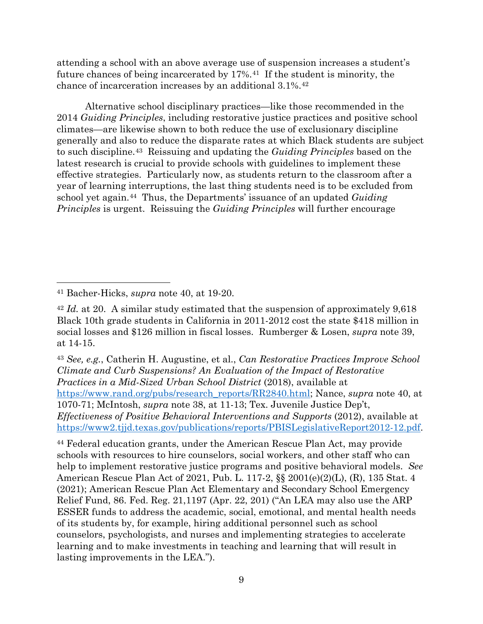attending a school with an above average use of suspension increases a student's future chances of being incarcerated by 17%.[41](#page-8-0) If the student is minority, the chance of incarceration increases by an additional 3.1%[.42](#page-8-1)

Alternative school disciplinary practices—like those recommended in the 2014 *Guiding Principles*, including restorative justice practices and positive school climates—are likewise shown to both reduce the use of exclusionary discipline generally and also to reduce the disparate rates at which Black students are subject to such discipline.[43](#page-8-2) Reissuing and updating the *Guiding Principles* based on the latest research is crucial to provide schools with guidelines to implement these effective strategies. Particularly now, as students return to the classroom after a year of learning interruptions, the last thing students need is to be excluded from school yet again.[44](#page-8-3) Thus, the Departments' issuance of an updated *Guiding Principles* is urgent. Reissuing the *Guiding Principles* will further encourage

<span id="page-8-2"></span><sup>43</sup> *See, e.g.*, Catherin H. Augustine, et al., *Can Restorative Practices Improve School Climate and Curb Suspensions? An Evaluation of the Impact of Restorative Practices in a Mid-Sized Urban School District* (2018), available at [https://www.rand.org/pubs/research\\_reports/RR2840.html;](https://www.rand.org/pubs/research_reports/RR2840.html) Nance, *supra* note 40, at 1070-71; McIntosh, *supra* note 38, at 11-13; Tex. Juvenile Justice Dep't, *Effectiveness of Positive Behavioral Interventions and Supports* (2012), available at [https://www2.tjjd.texas.gov/publications/reports/PBISLegislativeReport2012-12.pdf.](https://www2.tjjd.texas.gov/publications/reports/PBISLegislativeReport2012-12.pdf)

<span id="page-8-3"></span><sup>44</sup> Federal education grants, under the American Rescue Plan Act, may provide schools with resources to hire counselors, social workers, and other staff who can help to implement restorative justice programs and positive behavioral models. *See* American Rescue Plan Act of 2021, Pub. L. 117-2, §§ 2001(e)(2)(L), (R), 135 Stat. 4 (2021); American Rescue Plan Act Elementary and Secondary School Emergency Relief Fund, 86. Fed. Reg. 21,1197 (Apr. 22, 201) ("An LEA may also use the ARP ESSER funds to address the academic, social, emotional, and mental health needs of its students by, for example, hiring additional personnel such as school counselors, psychologists, and nurses and implementing strategies to accelerate learning and to make investments in teaching and learning that will result in lasting improvements in the LEA.").

<span id="page-8-0"></span><sup>41</sup> Bacher-Hicks, *supra* note 40, at 19-20.

<span id="page-8-1"></span><sup>42</sup> *Id.* at 20. A similar study estimated that the suspension of approximately 9,618 Black 10th grade students in California in 2011-2012 cost the state \$418 million in social losses and \$126 million in fiscal losses. Rumberger & Losen, *supra* note 39, at 14-15.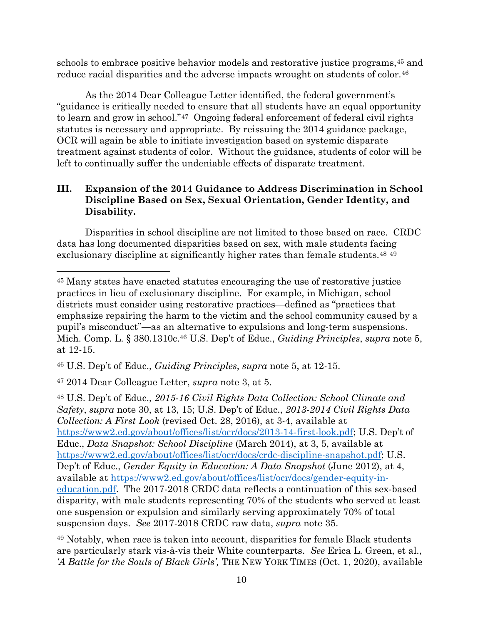schools to embrace positive behavior models and restorative justice programs,<sup>[45](#page-9-0)</sup> and reduce racial disparities and the adverse impacts wrought on students of color.<sup>[46](#page-9-1)</sup>

As the 2014 Dear Colleague Letter identified, the federal government's "guidance is critically needed to ensure that all students have an equal opportunity to learn and grow in school."[47](#page-9-2) Ongoing federal enforcement of federal civil rights statutes is necessary and appropriate. By reissuing the 2014 guidance package, OCR will again be able to initiate investigation based on systemic disparate treatment against students of color. Without the guidance, students of color will be left to continually suffer the undeniable effects of disparate treatment.

## **III. Expansion of the 2014 Guidance to Address Discrimination in School Discipline Based on Sex, Sexual Orientation, Gender Identity, and Disability.**

Disparities in school discipline are not limited to those based on race. CRDC data has long documented disparities based on sex, with male students facing exclusionary discipline at significantly higher rates than female students.<sup>[48](#page-9-3) [49](#page-9-4)</sup>

<span id="page-9-3"></span><sup>47</sup> 2014 Dear Colleague Letter, *supra* note 3, at 5.

<sup>48</sup> U.S. Dep't of Educ., *2015-16 Civil Rights Data Collection: School Climate and Safety*, *supra* note 30, at 13, 15; U.S. Dep't of Educ., *2013-2014 Civil Rights Data Collection: A First Look* (revised Oct. 28, 2016), at 3-4, available at [https://www2.ed.gov/about/offices/list/ocr/docs/2013-14-first-look.pdf;](https://www2.ed.gov/about/offices/list/ocr/docs/2013-14-first-look.pdf) U.S. Dep't of Educ., *Data Snapshot: School Discipline* (March 2014), at 3, 5, available at [https://www2.ed.gov/about/offices/list/ocr/docs/crdc-discipline-snapshot.pdf;](https://www2.ed.gov/about/offices/list/ocr/docs/crdc-discipline-snapshot.pdf) U.S. Dep't of Educ., *Gender Equity in Education: A Data Snapshot* (June 2012), at 4, available at [https://www2.ed.gov/about/offices/list/ocr/docs/gender-equity-in](https://www2.ed.gov/about/offices/list/ocr/docs/gender-equity-in-education.pdf)[education.pdf.](https://www2.ed.gov/about/offices/list/ocr/docs/gender-equity-in-education.pdf) The 2017-2018 CRDC data reflects a continuation of this sex-based disparity, with male students representing 70% of the students who served at least one suspension or expulsion and similarly serving approximately 70% of total suspension days. *See* 2017-2018 CRDC raw data, *supra* note 35.

<span id="page-9-4"></span><sup>49</sup> Notably, when race is taken into account, disparities for female Black students are particularly stark vis-à-vis their White counterparts. *See* Erica L. Green, et al., *'A Battle for the Souls of Black Girls',* THE NEW YORK TIMES (Oct. 1, 2020), available

<span id="page-9-0"></span><sup>45</sup> Many states have enacted statutes encouraging the use of restorative justice practices in lieu of exclusionary discipline. For example, in Michigan, school districts must consider using restorative practices—defined as "practices that emphasize repairing the harm to the victim and the school community caused by a pupil's misconduct"—as an alternative to expulsions and long-term suspensions. Mich. Comp. L. § 380.1310c.46 U.S. Dep't of Educ., *Guiding Principles*, *supra* note 5, at 12-15.

<span id="page-9-2"></span><span id="page-9-1"></span><sup>46</sup> U.S. Dep't of Educ., *Guiding Principles*, *supra* note 5, at 12-15.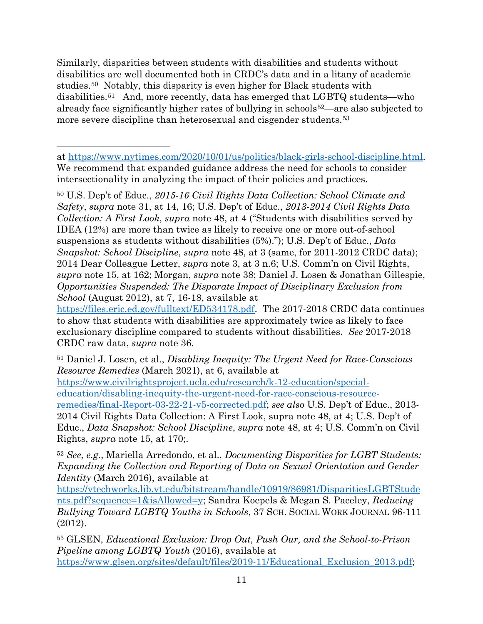Similarly, disparities between students with disabilities and students without disabilities are well documented both in CRDC's data and in a litany of academic studies.[50](#page-10-0) Notably, this disparity is even higher for Black students with disabilities.[51](#page-10-1) And, more recently, data has emerged that LGBTQ students—who already face significantly higher rates of bullying in schools<sup>[52](#page-10-2)</sup>—are also subjected to more severe discipline than heterosexual and cisgender students.[53](#page-10-3)

<span id="page-10-0"></span><sup>50</sup> U.S. Dep't of Educ., *2015-16 Civil Rights Data Collection: School Climate and Safety*, *supra* note 31, at 14, 16; U.S. Dep't of Educ., *2013-2014 Civil Rights Data Collection: A First Look*, *supra* note 48, at 4 ("Students with disabilities served by IDEA (12%) are more than twice as likely to receive one or more out-of-school suspensions as students without disabilities (5%)."); U.S. Dep't of Educ., *Data Snapshot: School Discipline*, *supra* note 48, at 3 (same, for 2011-2012 CRDC data); 2014 Dear Colleague Letter, *supra* note 3, at 3 n.6; U.S. Comm'n on Civil Rights, *supra* note 15, at 162; Morgan, *supra* note 38; Daniel J. Losen & Jonathan Gillespie, *Opportunities Suspended: The Disparate Impact of Disciplinary Exclusion from School* (August 2012), at 7, 16-18, available at

[https://files.eric.ed.gov/fulltext/ED534178.pdf.](https://files.eric.ed.gov/fulltext/ED534178.pdf) The 2017-2018 CRDC data continues to show that students with disabilities are approximately twice as likely to face exclusionary discipline compared to students without disabilities. *See* 2017-2018 CRDC raw data, *supra* note 36.

<span id="page-10-1"></span><sup>51</sup> Daniel J. Losen, et al., *Disabling Inequity: The Urgent Need for Race-Conscious Resource Remedies* (March 2021), at 6, available at [https://www.civilrightsproject.ucla.edu/research/k-12-education/special](https://www.civilrightsproject.ucla.edu/research/k-12-education/special-education/disabling-inequity-the-urgent-need-for-race-conscious-resource-remedies/final-Report-03-22-21-v5-corrected.pdf)[education/disabling-inequity-the-urgent-need-for-race-conscious-resource](https://www.civilrightsproject.ucla.edu/research/k-12-education/special-education/disabling-inequity-the-urgent-need-for-race-conscious-resource-remedies/final-Report-03-22-21-v5-corrected.pdf)[remedies/final-Report-03-22-21-v5-corrected.pdf;](https://www.civilrightsproject.ucla.edu/research/k-12-education/special-education/disabling-inequity-the-urgent-need-for-race-conscious-resource-remedies/final-Report-03-22-21-v5-corrected.pdf) *see also* U.S. Dep't of Educ., 2013- 2014 Civil Rights Data Collection: A First Look, supra note 48, at 4; U.S. Dep't of Educ., *Data Snapshot: School Discipline*, *supra* note 48, at 4; U.S. Comm'n on Civil Rights, *supra* note 15, at 170;.

<span id="page-10-2"></span><sup>52</sup> *See, e.g.*, Mariella Arredondo, et al., *Documenting Disparities for LGBT Students: Expanding the Collection and Reporting of Data on Sexual Orientation and Gender Identity* (March 2016), available at

[https://vtechworks.lib.vt.edu/bitstream/handle/10919/86981/DisparitiesLGBTStude](https://vtechworks.lib.vt.edu/bitstream/handle/10919/86981/DisparitiesLGBTStudents.pdf?sequence=1&isAllowed=y) [nts.pdf?sequence=1&isAllowed=y;](https://vtechworks.lib.vt.edu/bitstream/handle/10919/86981/DisparitiesLGBTStudents.pdf?sequence=1&isAllowed=y) Sandra Koepels & Megan S. Paceley, *Reducing Bullying Toward LGBTQ Youths in Schools*, 37 SCH. SOCIAL WORK JOURNAL 96-111 (2012).

<span id="page-10-3"></span><sup>53</sup> GLSEN, *Educational Exclusion: Drop Out, Push Our, and the School-to-Prison Pipeline among LGBTQ Youth* (2016), available at [https://www.glsen.org/sites/default/files/2019-11/Educational\\_Exclusion\\_2013.pdf;](https://www.glsen.org/sites/default/files/2019-11/Educational_Exclusion_2013.pdf)

at [https://www.nytimes.com/2020/10/01/us/politics/black-girls-school-discipline.html.](https://www.nytimes.com/2020/10/01/us/politics/black-girls-school-discipline.html) We recommend that expanded guidance address the need for schools to consider intersectionality in analyzing the impact of their policies and practices.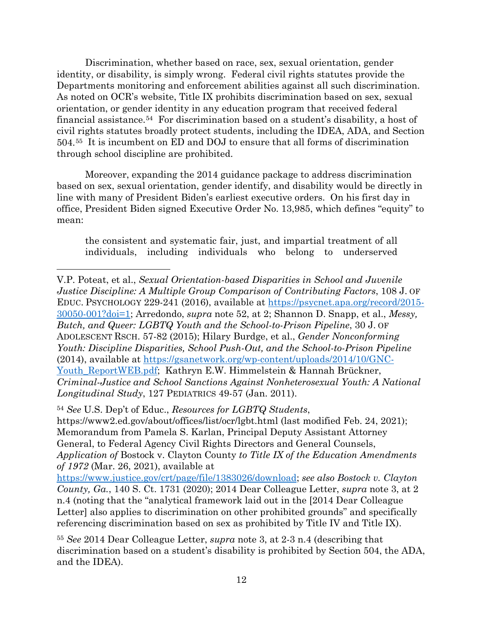Discrimination, whether based on race, sex, sexual orientation, gender identity, or disability, is simply wrong. Federal civil rights statutes provide the Departments monitoring and enforcement abilities against all such discrimination. As noted on OCR's website, Title IX prohibits discrimination based on sex, sexual orientation, or gender identity in any education program that received federal financial assistance.[54](#page-11-0) For discrimination based on a student's disability, a host of civil rights statutes broadly protect students, including the IDEA, ADA, and Section 504.[55](#page-11-1) It is incumbent on ED and DOJ to ensure that all forms of discrimination through school discipline are prohibited.

Moreover, expanding the 2014 guidance package to address discrimination based on sex, sexual orientation, gender identify, and disability would be directly in line with many of President Biden's earliest executive orders. On his first day in office, President Biden signed Executive Order No. 13,985, which defines "equity" to mean:

the consistent and systematic fair, just, and impartial treatment of all individuals, including individuals who belong to underserved

V.P. Poteat, et al., *Sexual Orientation-based Disparities in School and Juvenile Justice Discipline: A Multiple Group Comparison of Contributing Factors*, 108 J. OF EDUC. PSYCHOLOGY 229-241 (2016), available at [https://psycnet.apa.org/record/2015-](https://psycnet.apa.org/record/2015-30050-001?doi=1) [30050-001?doi=1;](https://psycnet.apa.org/record/2015-30050-001?doi=1) Arredondo, *supra* note 52, at 2; Shannon D. Snapp, et al., *Messy, Butch, and Queer: LGBTQ Youth and the School-to-Prison Pipeline*, 30 J. OF ADOLESCENT RSCH. 57-82 (2015); Hilary Burdge, et al., *Gender Nonconforming Youth: Discipline Disparities, School Push-Out, and the School-to-Prison Pipeline* (2014), available at [https://gsanetwork.org/wp-content/uploads/2014/10/GNC-](https://gsanetwork.org/wp-content/uploads/2014/10/GNC-Youth_ReportWEB.pdf)[Youth\\_ReportWEB.pdf;](https://gsanetwork.org/wp-content/uploads/2014/10/GNC-Youth_ReportWEB.pdf) Kathryn E.W. Himmelstein & Hannah Brückner, *Criminal-Justice and School Sanctions Against Nonheterosexual Youth: A National Longitudinal Study*, 127 PEDIATRICS 49-57 (Jan. 2011).

<span id="page-11-0"></span><sup>54</sup> *See* U.S. Dep't of Educ., *Resources for LGBTQ Students*, https://www2.ed.gov/about/offices/list/ocr/lgbt.html (last modified Feb. 24, 2021); Memorandum from Pamela S. Karlan, Principal Deputy Assistant Attorney General, to Federal Agency Civil Rights Directors and General Counsels, *Application of* Bostock v. Clayton County *to Title IX of the Education Amendments of 1972* (Mar. 26, 2021), available at

[https://www.justice.gov/crt/page/file/1383026/download;](https://www.justice.gov/crt/page/file/1383026/download) *see also Bostock v. Clayton County, Ga.*, 140 S. Ct. 1731 (2020); 2014 Dear Colleague Letter, *supra* note 3, at 2 n.4 (noting that the "analytical framework laid out in the [2014 Dear Colleague Letter] also applies to discrimination on other prohibited grounds" and specifically referencing discrimination based on sex as prohibited by Title IV and Title IX).

<span id="page-11-1"></span><sup>55</sup> *See* 2014 Dear Colleague Letter, *supra* note 3, at 2-3 n.4 (describing that discrimination based on a student's disability is prohibited by Section 504, the ADA, and the IDEA).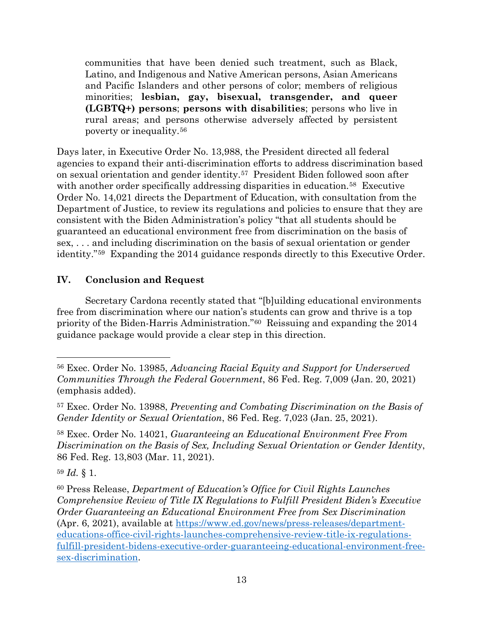communities that have been denied such treatment, such as Black, Latino, and Indigenous and Native American persons, Asian Americans and Pacific Islanders and other persons of color; members of religious minorities; **lesbian, gay, bisexual, transgender, and queer (LGBTQ+) persons**; **persons with disabilities**; persons who live in rural areas; and persons otherwise adversely affected by persistent poverty or inequality.[56](#page-12-0)

Days later, in Executive Order No. 13,988, the President directed all federal agencies to expand their anti-discrimination efforts to address discrimination based on sexual orientation and gender identity.[57](#page-12-1) President Biden followed soon after with another order specifically addressing disparities in education.<sup>58</sup> Executive Order No. 14,021 directs the Department of Education, with consultation from the Department of Justice, to review its regulations and policies to ensure that they are consistent with the Biden Administration's policy "that all students should be guaranteed an educational environment free from discrimination on the basis of sex, . . . and including discrimination on the basis of sexual orientation or gender identity."[59](#page-12-3) Expanding the 2014 guidance responds directly to this Executive Order.

## **IV. Conclusion and Request**

Secretary Cardona recently stated that "[b]uilding educational environments free from discrimination where our nation's students can grow and thrive is a top priority of the Biden-Harris Administration.["60](#page-12-4) Reissuing and expanding the 2014 guidance package would provide a clear step in this direction.

<span id="page-12-3"></span><sup>59</sup> *Id.* § 1.

<span id="page-12-0"></span><sup>56</sup> Exec. Order No. 13985, *Advancing Racial Equity and Support for Underserved Communities Through the Federal Government*, 86 Fed. Reg. 7,009 (Jan. 20, 2021) (emphasis added).

<span id="page-12-1"></span><sup>57</sup> Exec. Order No. 13988, *Preventing and Combating Discrimination on the Basis of Gender Identity or Sexual Orientation*, 86 Fed. Reg. 7,023 (Jan. 25, 2021).

<span id="page-12-2"></span><sup>58</sup> Exec. Order No. 14021, *Guaranteeing an Educational Environment Free From Discrimination on the Basis of Sex, Including Sexual Orientation or Gender Identity*, 86 Fed. Reg. 13,803 (Mar. 11, 2021).

<span id="page-12-4"></span><sup>60</sup> Press Release, *Department of Education's Office for Civil Rights Launches Comprehensive Review of Title IX Regulations to Fulfill President Biden's Executive Order Guaranteeing an Educational Environment Free from Sex Discrimination* (Apr. 6, 2021), available at [https://www.ed.gov/news/press-releases/department](https://www.ed.gov/news/press-releases/department-educations-office-civil-rights-launches-comprehensive-review-title-ix-regulations-fulfill-president-bidens-executive-order-guaranteeing-educational-environment-free-sex-discrimination)[educations-office-civil-rights-launches-comprehensive-review-title-ix-regulations](https://www.ed.gov/news/press-releases/department-educations-office-civil-rights-launches-comprehensive-review-title-ix-regulations-fulfill-president-bidens-executive-order-guaranteeing-educational-environment-free-sex-discrimination)[fulfill-president-bidens-executive-order-guaranteeing-educational-environment-free](https://www.ed.gov/news/press-releases/department-educations-office-civil-rights-launches-comprehensive-review-title-ix-regulations-fulfill-president-bidens-executive-order-guaranteeing-educational-environment-free-sex-discrimination)[sex-discrimination.](https://www.ed.gov/news/press-releases/department-educations-office-civil-rights-launches-comprehensive-review-title-ix-regulations-fulfill-president-bidens-executive-order-guaranteeing-educational-environment-free-sex-discrimination)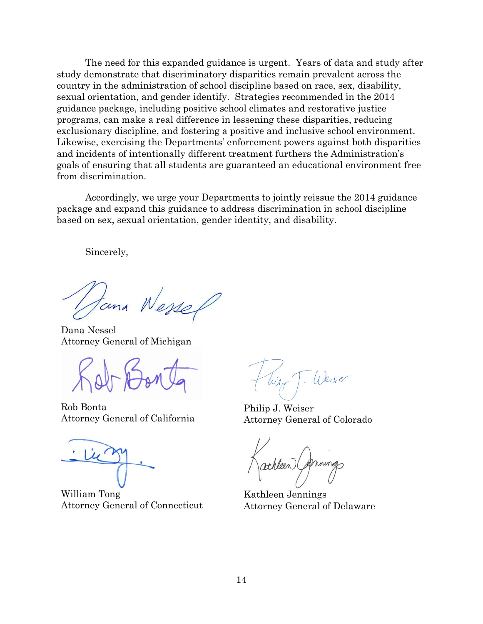The need for this expanded guidance is urgent. Years of data and study after study demonstrate that discriminatory disparities remain prevalent across the country in the administration of school discipline based on race, sex, disability, sexual orientation, and gender identify. Strategies recommended in the 2014 guidance package, including positive school climates and restorative justice programs, can make a real difference in lessening these disparities, reducing exclusionary discipline, and fostering a positive and inclusive school environment. Likewise, exercising the Departments' enforcement powers against both disparities and incidents of intentionally different treatment furthers the Administration's goals of ensuring that all students are guaranteed an educational environment free from discrimination.

Accordingly, we urge your Departments to jointly reissue the 2014 guidance package and expand this guidance to address discrimination in school discipline based on sex, sexual orientation, gender identity, and disability.

Sincerely,

tana Wesser

Dana Nessel Attorney General of Michigan

Rob Bonta Attorney General of California

William Tong Attorney General of Connecticut

Philip J. Weiser Attorney General of Colorado

athleen

Kathleen Jennings Attorney General of Delaware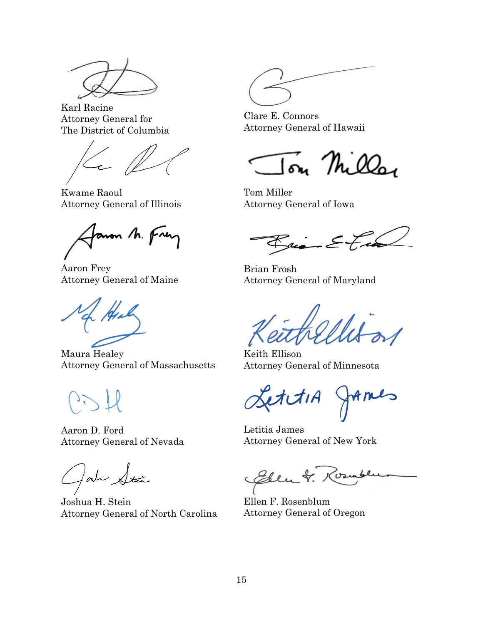

Karl Racine Attorney General for The District of Columbia

Kwame Raoul Attorney General of Illinois

anon M. Frey

Aaron Frey Attorney General of Maine

Maura Healey Attorney General of Massachusetts

12

Aaron D. Ford Attorney General of Nevada

fort Stan

Joshua H. Stein Attorney General of North Carolina

Clare E. Connors Attorney General of Hawaii

on Milla

Tom Miller Attorney General of Iowa

 $\mathcal{E}_{\mu \mu}$   $\mathcal{E}_{\tau}$  in

Brian Frosh Attorney General of Maryland

Keith Ellison Attorney General of Minnesota

LettiA JAMES

Letitia James Attorney General of New York

Eden & Rounde

Ellen F. Rosenblum Attorney General of Oregon